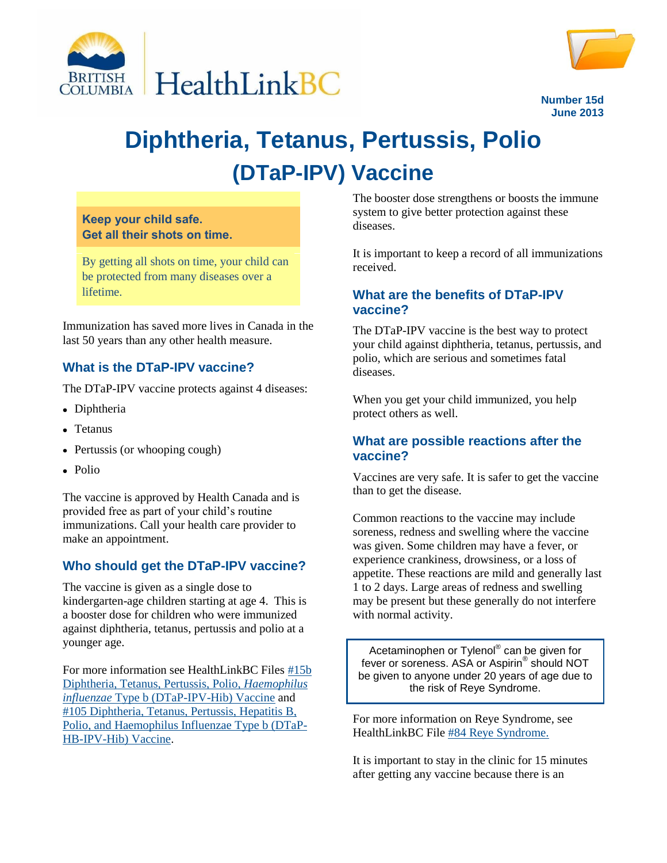



**June 2013**

# **Diphtheria, Tetanus, Pertussis, Polio (DTaP-IPV) Vaccine**

**Keep your child safe. Get all their shots on time.**

By getting all shots on time, your child can be protected from many diseases over a lifetime.

Immunization has saved more lives in Canada in the last 50 years than any other health measure.

## **What is the DTaP-IPV vaccine?**

The DTaP-IPV vaccine protects against 4 diseases:

- Diphtheria
- Tetanus
- Pertussis (or whooping cough)
- Polio

The vaccine is approved by Health Canada and is provided free as part of your child's routine immunizations. Call your health care provider to make an appointment.

### **Who should get the DTaP-IPV vaccine?**

The vaccine is given as a single dose to kindergarten-age children starting at age 4. This is a booster dose for children who were immunized against diphtheria, tetanus, pertussis and polio at a younger age.

For more information see HealthLinkBC Files [#15b](http://www.healthlinkbc.ca/healthfiles/hfile15b.stm)  [Diphtheria, Tetanus, Pertussis, Polio,](http://www.healthlinkbc.ca/healthfiles/hfile15b.stm) *Haemophilus influenzae* [Type b \(DTaP-IPV-Hib\) Vaccine](http://www.healthlinkbc.ca/healthfiles/hfile15b.stm) and [#105 Diphtheria, Tetanus, Pertussis, Hepatitis B,](http://www.healthlinkbc.ca/healthfiles/hfile105.stm)  [Polio, and Haemophilus Influenzae Type b \(DTaP-](http://www.healthlinkbc.ca/healthfiles/hfile105.stm)[HB-IPV-Hib\) Vaccine.](http://www.healthlinkbc.ca/healthfiles/hfile105.stm)

The booster dose strengthens or boosts the immune system to give better protection against these diseases.

It is important to keep a record of all immunizations received.

#### **What are the benefits of DTaP-IPV vaccine?**

The DTaP-IPV vaccine is the best way to protect your child against diphtheria, tetanus, pertussis, and polio, which are serious and sometimes fatal diseases.

When you get your child immunized, you help protect others as well.

#### **What are possible reactions after the vaccine?**

Vaccines are very safe. It is safer to get the vaccine than to get the disease.

Common reactions to the vaccine may include soreness, redness and swelling where the vaccine was given. Some children may have a fever, or experience crankiness, drowsiness, or a loss of appetite. These reactions are mild and generally last 1 to 2 days. Large areas of redness and swelling may be present but these generally do not interfere with normal activity.

Acetaminophen or Tylenol® can be given for fever or soreness. ASA or Aspirin<sup>®</sup> should NOT be given to anyone under 20 years of age due to the risk of Reye Syndrome.

For more information on Reye Syndrome, see HealthLinkBC File [#84 Reye Syndrome.](http://www.healthlinkbc.ca/healthfiles/hfile84.stm)

It is important to stay in the clinic for 15 minutes after getting any vaccine because there is an